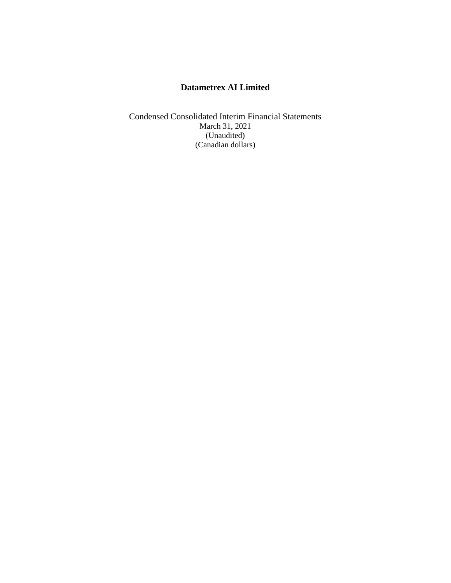Condensed Consolidated Interim Financial Statements March 31, 2021 (Unaudited) (Canadian dollars)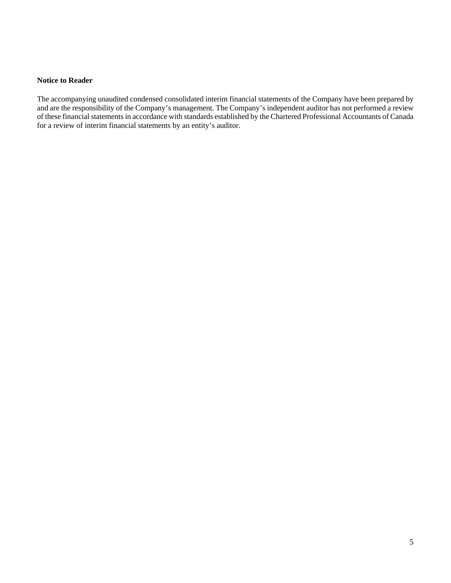#### **Notice to Reader**

The accompanying unaudited condensed consolidated interim financial statements of the Company have been prepared by and are the responsibility of the Company's management. The Company's independent auditor has not performed a review of these financial statements in accordance with standards established by the Chartered Professional Accountants of Canada for a review of interim financial statements by an entity's auditor.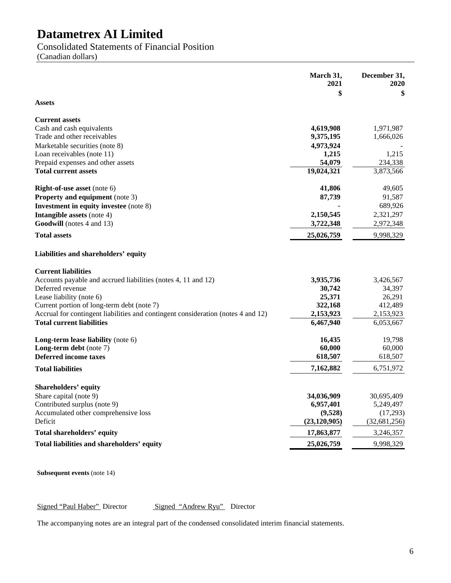Consolidated Statements of Financial Position

(Canadian dollars)

|                                                                                  | March 31,<br>2021<br>\$ | December 31,<br>2020<br>\$ |
|----------------------------------------------------------------------------------|-------------------------|----------------------------|
| <b>Assets</b>                                                                    |                         |                            |
| <b>Current assets</b>                                                            |                         |                            |
| Cash and cash equivalents                                                        | 4,619,908               | 1,971,987                  |
| Trade and other receivables                                                      | 9,375,195               | 1,666,026                  |
| Marketable securities (note 8)                                                   | 4,973,924               |                            |
| Loan receivables (note 11)                                                       | 1,215                   | 1,215                      |
| Prepaid expenses and other assets                                                | 54,079                  | 234,338                    |
| <b>Total current assets</b>                                                      | 19,024,321              | 3,873,566                  |
| <b>Right-of-use asset</b> (note 6)                                               | 41,806                  | 49,605                     |
| Property and equipment (note 3)                                                  | 87,739                  | 91,587                     |
| <b>Investment in equity investee</b> (note 8)                                    |                         | 689,926                    |
| <b>Intangible assets (note 4)</b>                                                | 2,150,545               | 2,321,297                  |
| Goodwill (notes 4 and 13)                                                        | 3,722,348               | 2,972,348                  |
| <b>Total assets</b>                                                              | 25,026,759              | 9,998,329                  |
| Liabilities and shareholders' equity                                             |                         |                            |
| <b>Current liabilities</b>                                                       |                         |                            |
| Accounts payable and accrued liabilities (notes 4, 11 and 12)                    | 3,935,736               | 3,426,567                  |
| Deferred revenue                                                                 | 30,742                  | 34,397                     |
| Lease liability (note 6)                                                         | 25,371                  | 26,291                     |
| Current portion of long-term debt (note 7)                                       | 322,168                 | 412,489                    |
| Accrual for contingent liabilities and contingent consideration (notes 4 and 12) | 2,153,923               | 2,153,923                  |
| <b>Total current liabilities</b>                                                 | 6,467,940               | 6,053,667                  |
| <b>Long-term lease liability</b> (note $6$ )                                     | 16,435                  | 19,798                     |
| Long-term debt (note 7)                                                          | 60,000                  | 60,000                     |
| <b>Deferred income taxes</b>                                                     | 618,507                 | 618,507                    |
| <b>Total liabilities</b>                                                         | 7,162,882               | 6,751,972                  |
| <b>Shareholders' equity</b>                                                      |                         |                            |
| Share capital (note 9)                                                           | 34,036,909              | 30,695,409                 |
| Contributed surplus (note 9)                                                     | 6,957,401               | 5,249,497                  |
| Accumulated other comprehensive loss                                             | (9,528)                 | (17,293)                   |
| Deficit                                                                          | (23, 120, 905)          | (32, 681, 256)             |
| Total shareholders' equity                                                       | 17,863,877              | 3,246,357                  |
| Total liabilities and shareholders' equity                                       | 25,026,759              | 9,998,329                  |

**Subsequent events** (note 14)

Signed "Paul Haber" Director Signed "Andrew Ryu" Director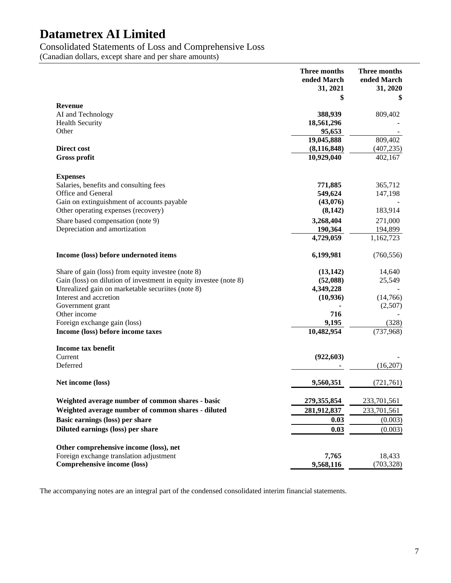### Consolidated Statements of Loss and Comprehensive Loss

(Canadian dollars, except share and per share amounts)

|                                                                   | Three months<br>ended March<br>31, 2021<br>\$ | <b>Three months</b><br>ended March<br>31, 2020<br>\$ |
|-------------------------------------------------------------------|-----------------------------------------------|------------------------------------------------------|
| Revenue                                                           |                                               |                                                      |
| AI and Technology                                                 | 388,939                                       | 809,402                                              |
| <b>Health Security</b>                                            | 18,561,296                                    |                                                      |
| Other                                                             | 95,653                                        |                                                      |
|                                                                   | 19,045,888                                    | 809,402                                              |
| <b>Direct cost</b>                                                | (8, 116, 848)                                 | (407, 235)                                           |
| <b>Gross profit</b>                                               | 10,929,040                                    | 402,167                                              |
| <b>Expenses</b>                                                   |                                               |                                                      |
| Salaries, benefits and consulting fees                            | 771,885                                       | 365,712                                              |
| Office and General                                                | 549,624                                       | 147,198                                              |
| Gain on extinguishment of accounts payable                        | (43,076)                                      |                                                      |
| Other operating expenses (recovery)                               | (8,142)                                       | 183,914                                              |
| Share based compensation (note 9)                                 | 3,268,404                                     | 271,000                                              |
| Depreciation and amortization                                     | 190,364                                       | 194,899                                              |
|                                                                   | 4,729,059                                     | 1,162,723                                            |
| Income (loss) before undernoted items                             | 6,199,981                                     | (760, 556)                                           |
| Share of gain (loss) from equity investee (note 8)                | (13, 142)                                     | 14,640                                               |
| Gain (loss) on dilution of investment in equity investee (note 8) | (52,088)                                      | 25,549                                               |
| Unrealized gain on marketable securiites (note 8)                 | 4,349,228                                     |                                                      |
| Interest and accretion                                            | (10, 936)                                     | (14,766)                                             |
| Government grant                                                  |                                               | (2,507)                                              |
| Other income                                                      | 716                                           |                                                      |
| Foreign exchange gain (loss)                                      | 9,195                                         | (328)                                                |
| Income (loss) before income taxes                                 | 10,482,954                                    | (737,968)                                            |
| Income tax benefit                                                |                                               |                                                      |
| Current                                                           | (922, 603)                                    |                                                      |
| Deferred                                                          |                                               | (16,207)                                             |
| Net income (loss)                                                 | 9,560,351                                     | (721, 761)                                           |
| Weighted average number of common shares - basic                  | 279,355,854                                   | 233,701,561                                          |
| Weighted average number of common shares - diluted                | 281,912,837                                   | 233,701,561                                          |
| Basic earnings (loss) per share                                   | 0.03                                          | (0.003)                                              |
| Diluted earnings (loss) per share                                 | 0.03                                          | (0.003)                                              |
| Other comprehensive income (loss), net                            |                                               |                                                      |
| Foreign exchange translation adjustment                           | 7,765                                         | 18,433                                               |
| Comprehensive income (loss)                                       | 9,568,116                                     | (703, 328)                                           |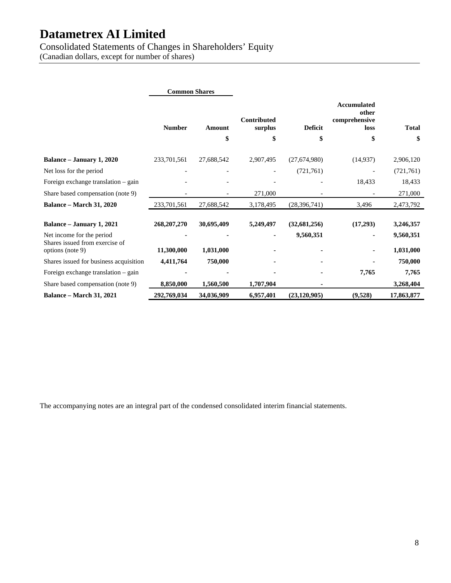Consolidated Statements of Changes in Shareholders' Equity

(Canadian dollars, except for number of shares)

|                                                    | <b>Common Shares</b> |            |                               |                |                                                      |              |
|----------------------------------------------------|----------------------|------------|-------------------------------|----------------|------------------------------------------------------|--------------|
|                                                    | <b>Number</b>        | Amount     | <b>Contributed</b><br>surplus | <b>Deficit</b> | <b>Accumulated</b><br>other<br>comprehensive<br>loss | <b>Total</b> |
|                                                    |                      | \$         | \$                            | \$             | \$                                                   | \$           |
| Balance – January 1, 2020                          | 233,701,561          | 27,688,542 | 2,907,495                     | (27,674,980)   | (14, 937)                                            | 2,906,120    |
| Net loss for the period                            |                      |            |                               | (721, 761)     |                                                      | (721, 761)   |
| Foreign exchange translation – gain                |                      |            |                               |                | 18,433                                               | 18,433       |
| Share based compensation (note 9)                  |                      |            | 271,000                       |                |                                                      | 271,000      |
| <b>Balance – March 31, 2020</b>                    | 233,701,561          | 27,688,542 | 3,178,495                     | (28, 396, 741) | 3,496                                                | 2,473,792    |
| Balance - January 1, 2021                          | 268, 207, 270        | 30,695,409 | 5,249,497                     | (32, 681, 256) | (17,293)                                             | 3,246,357    |
| Net income for the period                          |                      |            |                               | 9,560,351      | ۰.                                                   | 9,560,351    |
| Shares issued from exercise of<br>options (note 9) | 11,300,000           | 1,031,000  |                               |                |                                                      | 1,031,000    |
| Shares issued for business acquisition             | 4,411,764            | 750,000    |                               |                |                                                      | 750,000      |
| Foreign exchange translation – gain                |                      |            |                               |                | 7,765                                                | 7,765        |
| Share based compensation (note 9)                  | 8,850,000            | 1,560,500  | 1,707,904                     |                |                                                      | 3,268,404    |
| <b>Balance – March 31, 2021</b>                    | 292,769,034          | 34,036,909 | 6,957,401                     | (23, 120, 905) | (9,528)                                              | 17,863,877   |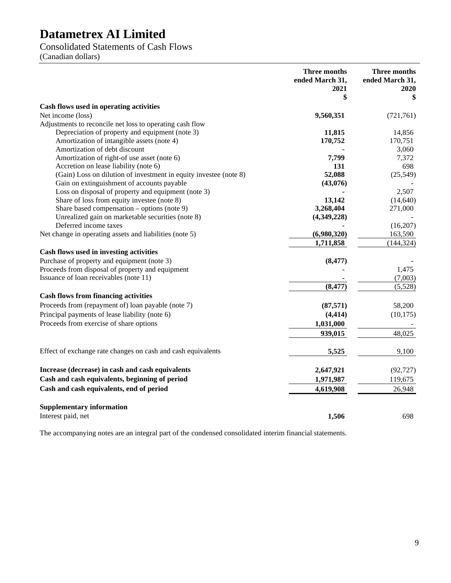Consolidated Statements of Cash Flows

(Canadian dollars)

|                                                                   | <b>Three months</b><br>ended March 31,<br>2021<br>\$ | <b>Three months</b><br>ended March 31,<br>2020<br>\$ |
|-------------------------------------------------------------------|------------------------------------------------------|------------------------------------------------------|
| Cash flows used in operating activities                           |                                                      |                                                      |
| Net income (loss)                                                 | 9,560,351                                            | (721, 761)                                           |
| Adjustments to reconcile net loss to operating cash flow          |                                                      |                                                      |
| Depreciation of property and equipment (note 3)                   | 11,815                                               | 14,856                                               |
| Amortization of intangible assets (note 4)                        | 170,752                                              | 170,751                                              |
| Amortization of debt discount                                     |                                                      | 3,060                                                |
| Amortization of right-of use asset (note 6)                       | 7,799                                                | 7,372                                                |
| Accretion on lease liability (note 6)                             | 131                                                  | 698                                                  |
| (Gain) Loss on dilution of investment in equity investee (note 8) | 52,088                                               | (25, 549)                                            |
| Gain on extinguishment of accounts payable                        | (43,076)                                             |                                                      |
| Loss on disposal of property and equipment (note 3)               |                                                      | 2,507                                                |
| Share of loss from equity investee (note 8)                       | 13,142                                               | (14, 640)                                            |
| Share based compensation - options (note 9)                       | 3,268,404                                            | 271,000                                              |
| Unrealized gain on marketable securities (note 8)                 | (4,349,228)                                          |                                                      |
| Deferred income taxes                                             |                                                      | (16,207)                                             |
| Net change in operating assets and liabilities (note 5)           | (6,980,320)                                          | 163,590                                              |
|                                                                   | 1,711,858                                            | (144, 324)                                           |
| Cash flows used in investing activities                           |                                                      |                                                      |
| Purchase of property and equipment (note 3)                       | (8, 477)                                             |                                                      |
| Proceeds from disposal of property and equipment                  |                                                      | 1,475                                                |
| Issuance of loan receivables (note 11)                            |                                                      | (7,003)                                              |
|                                                                   | (8, 477)                                             | (5,528)                                              |
| <b>Cash flows from financing activities</b>                       |                                                      |                                                      |
| Proceeds from (repayment of) loan payable (note 7)                | (87, 571)                                            | 58,200                                               |
| Principal payments of lease liability (note 6)                    | (4, 414)                                             | (10, 175)                                            |
| Proceeds from exercise of share options                           | 1,031,000                                            |                                                      |
|                                                                   | 939,015                                              | 48,025                                               |
| Effect of exchange rate changes on cash and cash equivalents      | 5,525                                                | 9,100                                                |
| Increase (decrease) in cash and cash equivalents                  | 2,647,921                                            | (92, 727)                                            |
| Cash and cash equivalents, beginning of period                    | 1,971,987                                            | 119,675                                              |
| Cash and cash equivalents, end of period                          | 4,619,908                                            | 26,948                                               |
|                                                                   |                                                      |                                                      |
| <b>Supplementary information</b><br>Interest paid, net            |                                                      |                                                      |
|                                                                   | 1,506                                                | 698                                                  |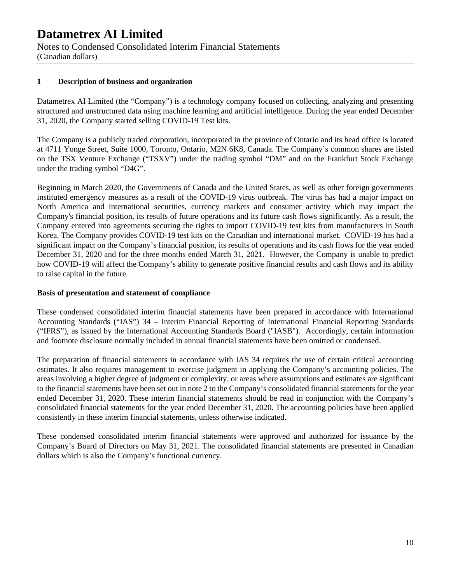Notes to Condensed Consolidated Interim Financial Statements (Canadian dollars)

### **1 Description of business and organization**

Datametrex AI Limited (the "Company") is a technology company focused on collecting, analyzing and presenting structured and unstructured data using machine learning and artificial intelligence. During the year ended December 31, 2020, the Company started selling COVID-19 Test kits.

The Company is a publicly traded corporation, incorporated in the province of Ontario and its head office is located at 4711 Yonge Street, Suite 1000, Toronto, Ontario, M2N 6K8, Canada. The Company's common shares are listed on the TSX Venture Exchange ("TSXV") under the trading symbol "DM" and on the Frankfurt Stock Exchange under the trading symbol "D4G".

Beginning in March 2020, the Governments of Canada and the United States, as well as other foreign governments instituted emergency measures as a result of the COVID-19 virus outbreak. The virus has had a major impact on North America and international securities, currency markets and consumer activity which may impact the Company's financial position, its results of future operations and its future cash flows significantly. As a result, the Company entered into agreements securing the rights to import COVID-19 test kits from manufacturers in South Korea. The Company provides COVID-19 test kits on the Canadian and international market. COVID-19 has had a significant impact on the Company's financial position, its results of operations and its cash flows for the year ended December 31, 2020 and for the three months ended March 31, 2021. However, the Company is unable to predict how COVID-19 will affect the Company's ability to generate positive financial results and cash flows and its ability to raise capital in the future.

#### **Basis of presentation and statement of compliance**

These condensed consolidated interim financial statements have been prepared in accordance with International Accounting Standards ("IAS") 34 – Interim Financial Reporting of International Financial Reporting Standards ("IFRS"), as issued by the International Accounting Standards Board ("IASB"). Accordingly, certain information and footnote disclosure normally included in annual financial statements have been omitted or condensed.

The preparation of financial statements in accordance with IAS 34 requires the use of certain critical accounting estimates. It also requires management to exercise judgment in applying the Company's accounting policies. The areas involving a higher degree of judgment or complexity, or areas where assumptions and estimates are significant to the financial statements have been set out in note 2 to the Company's consolidated financial statements for the year ended December 31, 2020. These interim financial statements should be read in conjunction with the Company's consolidated financial statements for the year ended December 31, 2020. The accounting policies have been applied consistently in these interim financial statements, unless otherwise indicated.

These condensed consolidated interim financial statements were approved and authorized for issuance by the Company's Board of Directors on May 31, 2021. The consolidated financial statements are presented in Canadian dollars which is also the Company's functional currency.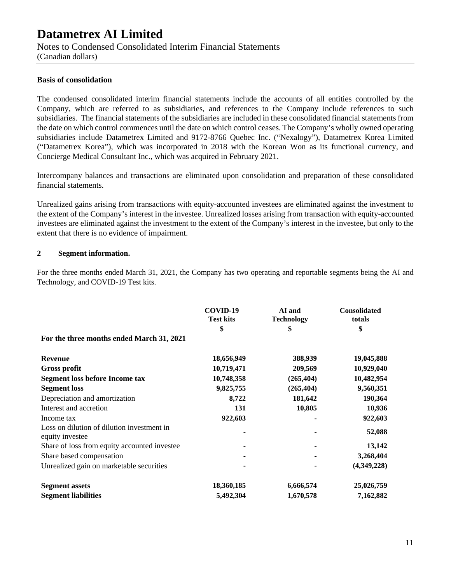Notes to Condensed Consolidated Interim Financial Statements

(Canadian dollars)

### **Basis of consolidation**

The condensed consolidated interim financial statements include the accounts of all entities controlled by the Company, which are referred to as subsidiaries, and references to the Company include references to such subsidiaries. The financial statements of the subsidiaries are included in these consolidated financial statements from the date on which control commences until the date on which control ceases. The Company's wholly owned operating subsidiaries include Datametrex Limited and 9172-8766 Quebec Inc. ("Nexalogy"), Datametrex Korea Limited ("Datametrex Korea"), which was incorporated in 2018 with the Korean Won as its functional currency, and Concierge Medical Consultant Inc., which was acquired in February 2021.

Intercompany balances and transactions are eliminated upon consolidation and preparation of these consolidated financial statements.

Unrealized gains arising from transactions with equity-accounted investees are eliminated against the investment to the extent of the Company's interest in the investee. Unrealized losses arising from transaction with equity-accounted investees are eliminated against the investment to the extent of the Company's interest in the investee, but only to the extent that there is no evidence of impairment.

### **2 Segment information.**

For the three months ended March 31, 2021, the Company has two operating and reportable segments being the AI and Technology, and COVID-19 Test kits.

|                                                               | COVID-19<br><b>Test kits</b> | AI and<br><b>Technology</b> | <b>Consolidated</b><br>totals |
|---------------------------------------------------------------|------------------------------|-----------------------------|-------------------------------|
| For the three months ended March 31, 2021                     | \$                           | \$                          | \$                            |
| <b>Revenue</b>                                                | 18,656,949                   | 388,939                     | 19,045,888                    |
| <b>Gross profit</b>                                           | 10,719,471                   | 209,569                     | 10,929,040                    |
| <b>Segment loss before Income tax</b>                         | 10,748,358                   | (265, 404)                  | 10,482,954                    |
| <b>Segment</b> loss                                           | 9,825,755                    | (265, 404)                  | 9,560,351                     |
| Depreciation and amortization                                 | 8,722                        | 181,642                     | 190,364                       |
| Interest and accretion                                        | 131                          | 10,805                      | 10,936                        |
| Income tax                                                    | 922,603                      |                             | 922,603                       |
| Loss on dilution of dilution investment in<br>equity investee |                              |                             | 52,088                        |
| Share of loss from equity accounted investee                  |                              |                             | 13,142                        |
| Share based compensation                                      |                              |                             | 3,268,404                     |
| Unrealized gain on marketable securities                      |                              |                             | (4,349,228)                   |
| <b>Segment assets</b>                                         | 18,360,185                   | 6,666,574                   | 25,026,759                    |
| <b>Segment liabilities</b>                                    | 5,492,304                    | 1,670,578                   | 7,162,882                     |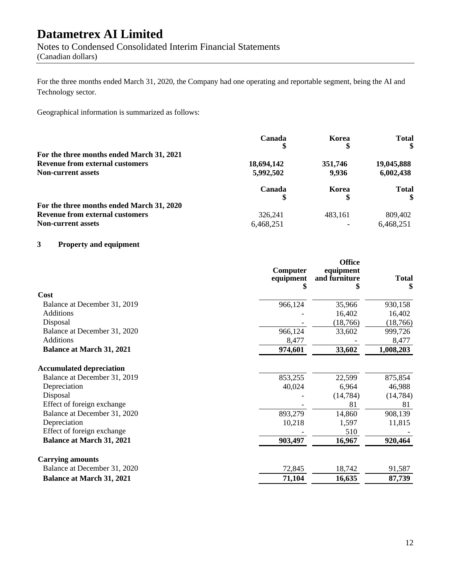Notes to Condensed Consolidated Interim Financial Statements (Canadian dollars)

For the three months ended March 31, 2020, the Company had one operating and reportable segment, being the AI and Technology sector.

Geographical information is summarized as follows:

|                                           | Canada     | Korea<br>\$ | <b>Total</b><br>\$ |
|-------------------------------------------|------------|-------------|--------------------|
| For the three months ended March 31, 2021 |            |             |                    |
| <b>Revenue from external customers</b>    | 18,694,142 | 351,746     | 19,045,888         |
| <b>Non-current assets</b>                 | 5,992,502  | 9,936       | 6,002,438          |
|                                           | Canada     | Korea       | <b>Total</b><br>\$ |
| For the three months ended March 31, 2020 |            |             |                    |
| <b>Revenue from external customers</b>    | 326,241    | 483.161     | 809,402            |
| <b>Non-current assets</b>                 | 6,468,251  |             | 6,468,251          |

### **3 Property and equipment**

|                                  | Computer<br>equipment | <b>Office</b><br>equipment<br>and furniture | <b>Total</b><br>\$ |
|----------------------------------|-----------------------|---------------------------------------------|--------------------|
| Cost                             |                       |                                             |                    |
| Balance at December 31, 2019     | 966,124               | 35,966                                      | 930,158            |
| <b>Additions</b>                 |                       | 16,402                                      | 16,402             |
| Disposal                         |                       | (18,766)                                    | (18, 766)          |
| Balance at December 31, 2020     | 966,124               | 33,602                                      | 999,726            |
| <b>Additions</b>                 | 8,477                 |                                             | 8,477              |
| <b>Balance at March 31, 2021</b> | 974,601               | 33,602                                      | 1,008,203          |
| <b>Accumulated depreciation</b>  |                       |                                             |                    |
| Balance at December 31, 2019     | 853,255               | 22,599                                      | 875,854            |
| Depreciation                     | 40,024                | 6,964                                       | 46,988             |
| Disposal                         |                       | (14, 784)                                   | (14, 784)          |
| Effect of foreign exchange       |                       | 81                                          | 81                 |
| Balance at December 31, 2020     | 893,279               | 14,860                                      | 908,139            |
| Depreciation                     | 10,218                | 1,597                                       | 11,815             |
| Effect of foreign exchange       |                       | 510                                         |                    |
| <b>Balance at March 31, 2021</b> | 903,497               | 16,967                                      | 920,464            |
| <b>Carrying amounts</b>          |                       |                                             |                    |
| Balance at December 31, 2020     | 72,845                | 18,742                                      | 91,587             |
| <b>Balance at March 31, 2021</b> | 71,104                | 16,635                                      | 87,739             |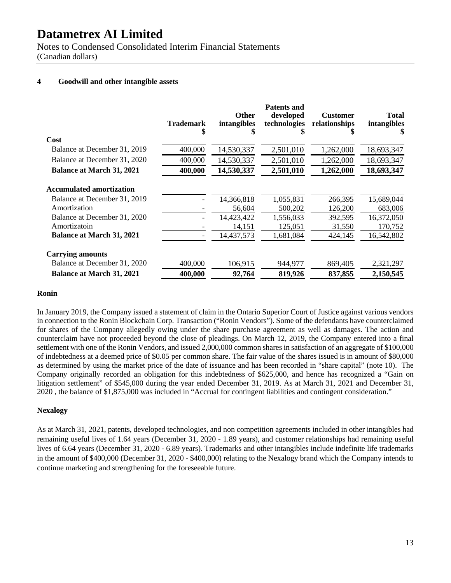Notes to Condensed Consolidated Interim Financial Statements (Canadian dollars)

### **4 Goodwill and other intangible assets**

|                                  | <b>Trademark</b><br>\$ | <b>Other</b><br>intangibles<br>\$ | <b>Patents and</b><br>developed<br>technologies<br>ъ | <b>Customer</b><br>relationships | <b>Total</b><br>intangibles<br>S |
|----------------------------------|------------------------|-----------------------------------|------------------------------------------------------|----------------------------------|----------------------------------|
| Cost                             |                        |                                   |                                                      |                                  |                                  |
| Balance at December 31, 2019     | 400,000                | 14,530,337                        | 2,501,010                                            | 1,262,000                        | 18,693,347                       |
| Balance at December 31, 2020     | 400,000                | 14,530,337                        | 2,501,010                                            | 1,262,000                        | 18,693,347                       |
| <b>Balance at March 31, 2021</b> | 400,000                | 14,530,337                        | 2,501,010                                            | 1,262,000                        | 18,693,347                       |
| <b>Accumulated amortization</b>  |                        |                                   |                                                      |                                  |                                  |
| Balance at December 31, 2019     |                        | 14,366,818                        | 1,055,831                                            | 266,395                          | 15,689,044                       |
| Amortization                     |                        | 56,604                            | 500,202                                              | 126,200                          | 683,006                          |
| Balance at December 31, 2020     |                        | 14,423,422                        | 1,556,033                                            | 392,595                          | 16,372,050                       |
| Amortizatoin                     |                        | 14,151                            | 125,051                                              | 31,550                           | 170,752                          |
| <b>Balance at March 31, 2021</b> |                        | 14,437,573                        | 1,681,084                                            | 424,145                          | 16,542,802                       |
| <b>Carrying amounts</b>          |                        |                                   |                                                      |                                  |                                  |
| Balance at December 31, 2020     | 400,000                | 106,915                           | 944,977                                              | 869,405                          | 2,321,297                        |
| <b>Balance at March 31, 2021</b> | 400,000                | 92,764                            | 819,926                                              | 837,855                          | 2,150,545                        |

#### **Ronin**

In January 2019, the Company issued a statement of claim in the Ontario Superior Court of Justice against various vendors in connection to the Ronin Blockchain Corp. Transaction ("Ronin Vendors"). Some of the defendants have counterclaimed for shares of the Company allegedly owing under the share purchase agreement as well as damages. The action and counterclaim have not proceeded beyond the close of pleadings. On March 12, 2019, the Company entered into a final settlement with one of the Ronin Vendors, and issued 2,000,000 common shares in satisfaction of an aggregate of \$100,000 of indebtedness at a deemed price of \$0.05 per common share. The fair value of the shares issued is in amount of \$80,000 as determined by using the market price of the date of issuance and has been recorded in "share capital" (note 10). The Company originally recorded an obligation for this indebtedness of \$625,000, and hence has recognized a "Gain on litigation settlement" of \$545,000 during the year ended December 31, 2019. As at March 31, 2021 and December 31, 2020 , the balance of \$1,875,000 was included in "Accrual for contingent liabilities and contingent consideration."

#### **Nexalogy**

As at March 31, 2021, patents, developed technologies, and non competition agreements included in other intangibles had remaining useful lives of 1.64 years (December 31, 2020 - 1.89 years), and customer relationships had remaining useful lives of 6.64 years (December 31, 2020 - 6.89 years). Trademarks and other intangibles include indefinite life trademarks in the amount of \$400,000 (December 31, 2020 - \$400,000) relating to the Nexalogy brand which the Company intends to continue marketing and strengthening for the foreseeable future.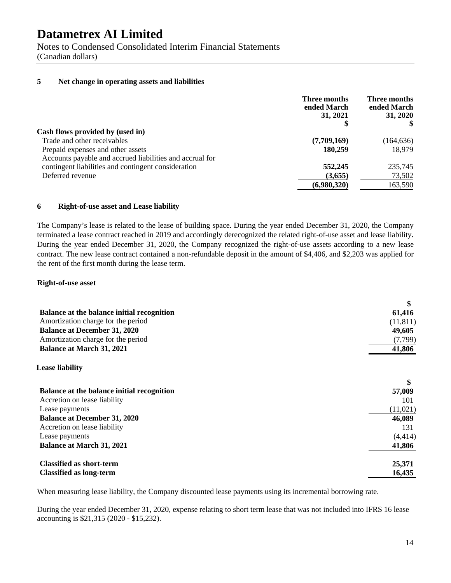Notes to Condensed Consolidated Interim Financial Statements

(Canadian dollars)

### **5 Net change in operating assets and liabilities**

|                                                          | Three months<br>ended March<br>31, 2021 | Three months<br>ended March<br>31, 2020 |
|----------------------------------------------------------|-----------------------------------------|-----------------------------------------|
| Cash flows provided by (used in)                         |                                         |                                         |
| Trade and other receivables                              | (7,709,169)                             | (164, 636)                              |
| Prepaid expenses and other assets                        | 180,259                                 | 18,979                                  |
| Accounts payable and accrued liabilities and accrual for |                                         |                                         |
| contingent liabilities and contingent consideration      | 552,245                                 | 235,745                                 |
| Deferred revenue                                         | (3,655)                                 | 73,502                                  |
|                                                          | (6,980,320)                             | 163,590                                 |
|                                                          |                                         |                                         |

#### **6 Right-of-use asset and Lease liability**

The Company's lease is related to the lease of building space. During the year ended December 31, 2020, the Company terminated a lease contract reached in 2019 and accordingly derecognized the related right-of-use asset and lease liability. During the year ended December 31, 2020, the Company recognized the right-of-use assets according to a new lease contract. The new lease contract contained a non-refundable deposit in the amount of \$4,406, and \$2,203 was applied for the rent of the first month during the lease term.

#### **Right-of-use asset**

|                                            | \$        |
|--------------------------------------------|-----------|
| Balance at the balance initial recognition | 61,416    |
| Amortization charge for the period         | (11, 811) |
| <b>Balance at December 31, 2020</b>        | 49,605    |
| Amortization charge for the period         | (7,799)   |
| <b>Balance at March 31, 2021</b>           | 41,806    |
| <b>Lease liability</b>                     |           |
|                                            | \$        |
| Balance at the balance initial recognition | 57,009    |
| Accretion on lease liability               | 101       |
| Lease payments                             | (11, 021) |
| <b>Balance at December 31, 2020</b>        | 46,089    |
| Accretion on lease liability               | 131       |
| Lease payments                             | (4, 414)  |
| <b>Balance at March 31, 2021</b>           | 41,806    |
| <b>Classified as short-term</b>            | 25,371    |
| <b>Classified as long-term</b>             | 16,435    |

When measuring lease liability, the Company discounted lease payments using its incremental borrowing rate.

During the year ended December 31, 2020, expense relating to short term lease that was not included into IFRS 16 lease accounting is \$21,315 (2020 - \$15,232).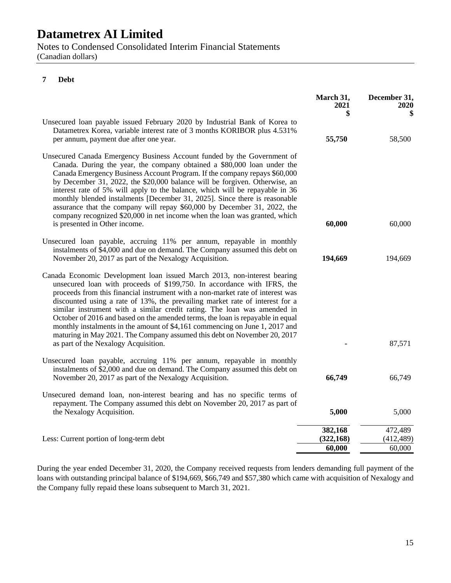Notes to Condensed Consolidated Interim Financial Statements (Canadian dollars)

### **7 Debt**

|                                                                                                                                                                                                                                                                                                                                                                                                                                                                                                                                                                                                                                                                                        | March 31,<br>2021<br>\$         | December 31,<br>2020            |
|----------------------------------------------------------------------------------------------------------------------------------------------------------------------------------------------------------------------------------------------------------------------------------------------------------------------------------------------------------------------------------------------------------------------------------------------------------------------------------------------------------------------------------------------------------------------------------------------------------------------------------------------------------------------------------------|---------------------------------|---------------------------------|
| Unsecured loan payable issued February 2020 by Industrial Bank of Korea to<br>Datametrex Korea, variable interest rate of 3 months KORIBOR plus 4.531%<br>per annum, payment due after one year.                                                                                                                                                                                                                                                                                                                                                                                                                                                                                       | 55,750                          | 58,500                          |
| Unsecured Canada Emergency Business Account funded by the Government of<br>Canada. During the year, the company obtained a \$80,000 loan under the<br>Canada Emergency Business Account Program. If the company repays \$60,000<br>by December 31, 2022, the \$20,000 balance will be forgiven. Otherwise, an<br>interest rate of 5% will apply to the balance, which will be repayable in 36<br>monthly blended instalments [December 31, 2025]. Since there is reasonable<br>assurance that the company will repay \$60,000 by December 31, 2022, the<br>company recognized \$20,000 in net income when the loan was granted, which<br>is presented in Other income.                 | 60,000                          | 60,000                          |
| Unsecured loan payable, accruing 11% per annum, repayable in monthly<br>instalments of \$4,000 and due on demand. The Company assumed this debt on<br>November 20, 2017 as part of the Nexalogy Acquisition.                                                                                                                                                                                                                                                                                                                                                                                                                                                                           | 194,669                         | 194,669                         |
| Canada Economic Development loan issued March 2013, non-interest bearing<br>unsecured loan with proceeds of \$199,750. In accordance with IFRS, the<br>proceeds from this financial instrument with a non-market rate of interest was<br>discounted using a rate of 13%, the prevailing market rate of interest for a<br>similar instrument with a similar credit rating. The loan was amended in<br>October of 2016 and based on the amended terms, the loan is repayable in equal<br>monthly instalments in the amount of \$4,161 commencing on June 1, 2017 and<br>maturing in May 2021. The Company assumed this debt on November 20, 2017<br>as part of the Nexalogy Acquisition. |                                 | 87,571                          |
| Unsecured loan payable, accruing 11% per annum, repayable in monthly<br>instalments of \$2,000 and due on demand. The Company assumed this debt on<br>November 20, 2017 as part of the Nexalogy Acquisition.                                                                                                                                                                                                                                                                                                                                                                                                                                                                           | 66,749                          | 66,749                          |
| Unsecured demand loan, non-interest bearing and has no specific terms of<br>repayment. The Company assumed this debt on November 20, 2017 as part of<br>the Nexalogy Acquisition.                                                                                                                                                                                                                                                                                                                                                                                                                                                                                                      | 5,000                           | 5,000                           |
| Less: Current portion of long-term debt                                                                                                                                                                                                                                                                                                                                                                                                                                                                                                                                                                                                                                                | 382,168<br>(322, 168)<br>60,000 | 472,489<br>(412, 489)<br>60,000 |

During the year ended December 31, 2020, the Company received requests from lenders demanding full payment of the loans with outstanding principal balance of \$194,669, \$66,749 and \$57,380 which came with acquisition of Nexalogy and the Company fully repaid these loans subsequent to March 31, 2021.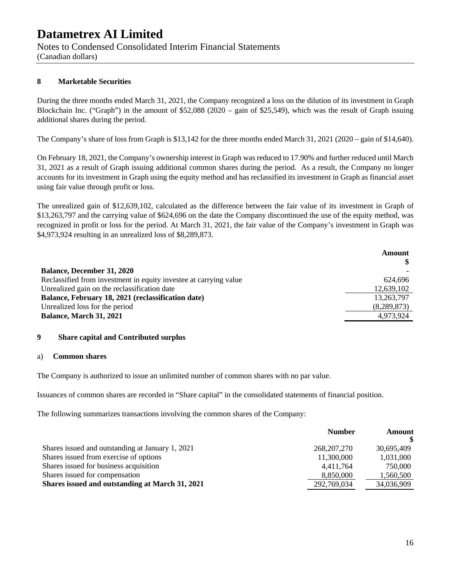Notes to Condensed Consolidated Interim Financial Statements

(Canadian dollars)

### **8 Marketable Securities**

During the three months ended March 31, 2021, the Company recognized a loss on the dilution of its investment in Graph Blockchain Inc. ("Graph") in the amount of \$52,088 (2020 – gain of \$25,549), which was the result of Graph issuing additional shares during the period.

The Company's share of loss from Graph is \$13,142 for the three months ended March 31, 2021 (2020 – gain of \$14,640).

On February 18, 2021, the Company's ownership interest in Graph was reduced to 17.90% and further reduced until March 31, 2021 as a result of Graph issuing additional common shares during the period. As a result, the Company no longer accounts for its investment in Graph using the equity method and has reclassified its investment in Graph as financial asset using fair value through profit or loss.

The unrealized gain of \$12,639,102, calculated as the difference between the fair value of its investment in Graph of \$13,263,797 and the carrying value of \$624,696 on the date the Company discontinued the use of the equity method, was recognized in profit or loss for the period. At March 31, 2021, the fair value of the Company's investment in Graph was \$4,973,924 resulting in an unrealized loss of \$8,289,873.

|                                                                   | <b>Amount</b><br>SS. |
|-------------------------------------------------------------------|----------------------|
| <b>Balance, December 31, 2020</b>                                 |                      |
| Reclassified from investment in equity investee at carrying value | 624.696              |
| Unrealized gain on the reclassification date                      | 12,639,102           |
| Balance, February 18, 2021 (reclassification date)                | 13,263,797           |
| Unrealized loss for the period                                    | (8,289,873)          |
| <b>Balance, March 31, 2021</b>                                    | 4,973,924            |
|                                                                   |                      |

#### **9 Share capital and Contributed surplus**

#### a) **Common shares**

The Company is authorized to issue an unlimited number of common shares with no par value.

Issuances of common shares are recorded in "Share capital" in the consolidated statements of financial position.

The following summarizes transactions involving the common shares of the Company:

|                                                  | <b>Number</b> | Amount     |
|--------------------------------------------------|---------------|------------|
| Shares issued and outstanding at January 1, 2021 | 268, 207, 270 | 30,695,409 |
| Shares issued from exercise of options           | 11,300,000    | 1,031,000  |
| Shares issued for business acquisition           | 4.411.764     | 750,000    |
| Shares issued for compensation                   | 8,850,000     | 1,560,500  |
| Shares issued and outstanding at March 31, 2021  | 292,769,034   | 34,036,909 |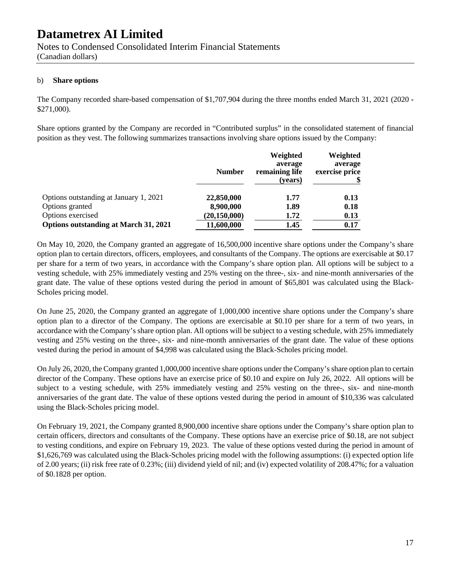Notes to Condensed Consolidated Interim Financial Statements

(Canadian dollars)

#### b) **Share options**

The Company recorded share-based compensation of \$1,707,904 during the three months ended March 31, 2021 (2020 **-** \$271,000).

Share options granted by the Company are recorded in "Contributed surplus" in the consolidated statement of financial position as they vest. The following summarizes transactions involving share options issued by the Company:

|                                              | <b>Number</b>  | Weighted<br>average<br>remaining life<br>(years) | Weighted<br>average<br>exercise price |
|----------------------------------------------|----------------|--------------------------------------------------|---------------------------------------|
| Options outstanding at January 1, 2021       | 22,850,000     | 1.77                                             | 0.13                                  |
| Options granted                              | 8,900,000      | 1.89                                             | 0.18                                  |
| Options exercised                            | (20, 150, 000) | 1.72                                             | 0.13                                  |
| <b>Options outstanding at March 31, 2021</b> | 11,600,000     | 1.45                                             | 0.17                                  |

On May 10, 2020, the Company granted an aggregate of 16,500,000 incentive share options under the Company's share option plan to certain directors, officers, employees, and consultants of the Company. The options are exercisable at \$0.17 per share for a term of two years, in accordance with the Company's share option plan. All options will be subject to a vesting schedule, with 25% immediately vesting and 25% vesting on the three-, six- and nine-month anniversaries of the grant date. The value of these options vested during the period in amount of \$65,801 was calculated using the Black-Scholes pricing model.

On June 25, 2020, the Company granted an aggregate of 1,000,000 incentive share options under the Company's share option plan to a director of the Company. The options are exercisable at \$0.10 per share for a term of two years, in accordance with the Company's share option plan. All options will be subject to a vesting schedule, with 25% immediately vesting and 25% vesting on the three-, six- and nine-month anniversaries of the grant date. The value of these options vested during the period in amount of \$4,998 was calculated using the Black-Scholes pricing model.

On July 26, 2020, the Company granted 1,000,000 incentive share options under the Company's share option plan to certain director of the Company. These options have an exercise price of \$0.10 and expire on July 26, 2022. All options will be subject to a vesting schedule, with 25% immediately vesting and 25% vesting on the three-, six- and nine-month anniversaries of the grant date. The value of these options vested during the period in amount of \$10,336 was calculated using the Black-Scholes pricing model.

On February 19, 2021, the Company granted 8,900,000 incentive share options under the Company's share option plan to certain officers, directors and consultants of the Company. These options have an exercise price of \$0.18, are not subject to vesting conditions, and expire on February 19, 2023. The value of these options vested during the period in amount of \$1,626,769 was calculated using the Black-Scholes pricing model with the following assumptions: (i) expected option life of 2.00 years; (ii) risk free rate of 0.23%; (iii) dividend yield of nil; and (iv) expected volatility of 208.47%; for a valuation of \$0.1828 per option.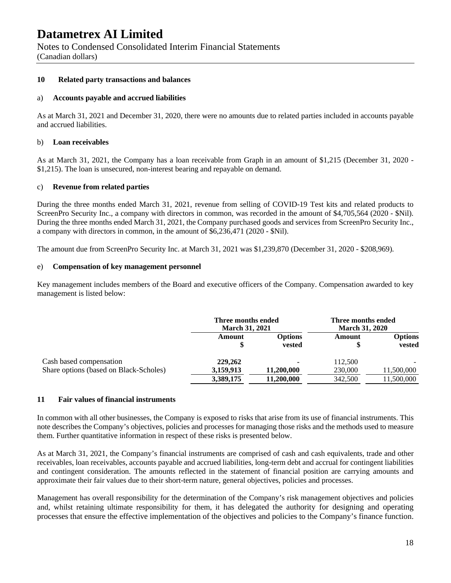Notes to Condensed Consolidated Interim Financial Statements

(Canadian dollars)

#### **10 Related party transactions and balances**

#### a) **Accounts payable and accrued liabilities**

As at March 31, 2021 and December 31, 2020, there were no amounts due to related parties included in accounts payable and accrued liabilities.

#### b) **Loan receivables**

As at March 31, 2021, the Company has a loan receivable from Graph in an amount of \$1,215 (December 31, 2020 - \$1,215). The loan is unsecured, non-interest bearing and repayable on demand.

#### c) **Revenue from related parties**

During the three months ended March 31, 2021, revenue from selling of COVID-19 Test kits and related products to ScreenPro Security Inc., a company with directors in common, was recorded in the amount of \$4,705,564 (2020 - \$Nil). During the three months ended March 31, 2021, the Company purchased goods and services from ScreenPro Security Inc., a company with directors in common, in the amount of \$6,236,471 (2020 - \$Nil).

The amount due from ScreenPro Security Inc. at March 31, 2021 was \$1,239,870 (December 31, 2020 - \$208,969).

#### e) **Compensation of key management personnel**

Key management includes members of the Board and executive officers of the Company. Compensation awarded to key management is listed below:

|                                        | Three months ended<br><b>March 31, 2021</b> |                          | Three months ended<br><b>March 31, 2020</b> |                   |
|----------------------------------------|---------------------------------------------|--------------------------|---------------------------------------------|-------------------|
|                                        | Amount                                      | <b>Options</b><br>vested | Amount                                      | Options<br>vested |
| Cash based compensation                | 229,262                                     |                          | 112,500                                     |                   |
| Share options (based on Black-Scholes) | 3,159,913                                   | 11,200,000               | 230,000                                     | 11,500,000        |
|                                        | 3,389,175                                   | 11,200,000               | 342,500                                     | 11,500,000        |

#### **11 Fair values of financial instruments**

In common with all other businesses, the Company is exposed to risks that arise from its use of financial instruments. This note describes the Company's objectives, policies and processes for managing those risks and the methods used to measure them. Further quantitative information in respect of these risks is presented below.

As at March 31, 2021, the Company's financial instruments are comprised of cash and cash equivalents, trade and other receivables, loan receivables, accounts payable and accrued liabilities, long-term debt and accrual for contingent liabilities and contingent consideration. The amounts reflected in the statement of financial position are carrying amounts and approximate their fair values due to their short-term nature, general objectives, policies and processes.

Management has overall responsibility for the determination of the Company's risk management objectives and policies and, whilst retaining ultimate responsibility for them, it has delegated the authority for designing and operating processes that ensure the effective implementation of the objectives and policies to the Company's finance function.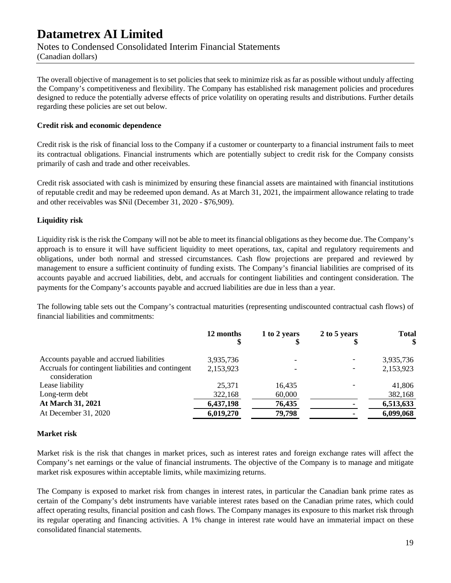Notes to Condensed Consolidated Interim Financial Statements

(Canadian dollars)

The overall objective of management is to set policies that seek to minimize risk as far as possible without unduly affecting the Company's competitiveness and flexibility. The Company has established risk management policies and procedures designed to reduce the potentially adverse effects of price volatility on operating results and distributions. Further details regarding these policies are set out below.

### **Credit risk and economic dependence**

Credit risk is the risk of financial loss to the Company if a customer or counterparty to a financial instrument fails to meet its contractual obligations. Financial instruments which are potentially subject to credit risk for the Company consists primarily of cash and trade and other receivables.

Credit risk associated with cash is minimized by ensuring these financial assets are maintained with financial institutions of reputable credit and may be redeemed upon demand. As at March 31, 2021, the impairment allowance relating to trade and other receivables was \$Nil (December 31, 2020 - \$76,909).

### **Liquidity risk**

Liquidity risk is the risk the Company will not be able to meet its financial obligations as they become due. The Company's approach is to ensure it will have sufficient liquidity to meet operations, tax, capital and regulatory requirements and obligations, under both normal and stressed circumstances. Cash flow projections are prepared and reviewed by management to ensure a sufficient continuity of funding exists. The Company's financial liabilities are comprised of its accounts payable and accrued liabilities, debt, and accruals for contingent liabilities and contingent consideration. The payments for the Company's accounts payable and accrued liabilities are due in less than a year.

The following table sets out the Company's contractual maturities (representing undiscounted contractual cash flows) of financial liabilities and commitments:

|                                                                     | 12 months | 1 to 2 years | 2 to 5 years | <b>Total</b><br>\$ |
|---------------------------------------------------------------------|-----------|--------------|--------------|--------------------|
| Accounts payable and accrued liabilities                            | 3,935,736 |              |              | 3,935,736          |
| Accruals for contingent liabilities and contingent<br>consideration | 2,153,923 |              |              | 2,153,923          |
| Lease liability                                                     | 25,371    | 16.435       |              | 41,806             |
| Long-term debt                                                      | 322,168   | 60,000       |              | 382,168            |
| At March 31, 2021                                                   | 6,437,198 | 76,435       |              | 6,513,633          |
| At December 31, 2020                                                | 6,019,270 | 79,798       |              | 6,099,068          |

#### **Market risk**

Market risk is the risk that changes in market prices, such as interest rates and foreign exchange rates will affect the Company's net earnings or the value of financial instruments. The objective of the Company is to manage and mitigate market risk exposures within acceptable limits, while maximizing returns.

The Company is exposed to market risk from changes in interest rates, in particular the Canadian bank prime rates as certain of the Company's debt instruments have variable interest rates based on the Canadian prime rates, which could affect operating results, financial position and cash flows. The Company manages its exposure to this market risk through its regular operating and financing activities. A 1% change in interest rate would have an immaterial impact on these consolidated financial statements.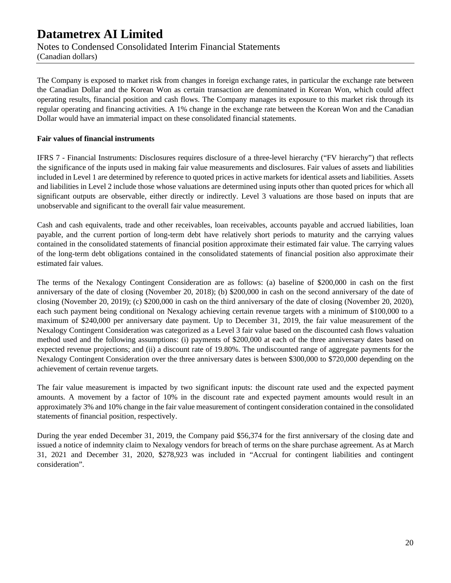Notes to Condensed Consolidated Interim Financial Statements

(Canadian dollars)

The Company is exposed to market risk from changes in foreign exchange rates, in particular the exchange rate between the Canadian Dollar and the Korean Won as certain transaction are denominated in Korean Won, which could affect operating results, financial position and cash flows. The Company manages its exposure to this market risk through its regular operating and financing activities. A 1% change in the exchange rate between the Korean Won and the Canadian Dollar would have an immaterial impact on these consolidated financial statements.

### **Fair values of financial instruments**

IFRS 7 - Financial Instruments: Disclosures requires disclosure of a three-level hierarchy ("FV hierarchy") that reflects the significance of the inputs used in making fair value measurements and disclosures. Fair values of assets and liabilities included in Level 1 are determined by reference to quoted prices in active markets for identical assets and liabilities. Assets and liabilities in Level 2 include those whose valuations are determined using inputs other than quoted prices for which all significant outputs are observable, either directly or indirectly. Level 3 valuations are those based on inputs that are unobservable and significant to the overall fair value measurement.

Cash and cash equivalents, trade and other receivables, loan receivables, accounts payable and accrued liabilities, loan payable, and the current portion of long-term debt have relatively short periods to maturity and the carrying values contained in the consolidated statements of financial position approximate their estimated fair value. The carrying values of the long-term debt obligations contained in the consolidated statements of financial position also approximate their estimated fair values.

The terms of the Nexalogy Contingent Consideration are as follows: (a) baseline of \$200,000 in cash on the first anniversary of the date of closing (November 20, 2018); (b) \$200,000 in cash on the second anniversary of the date of closing (November 20, 2019); (c) \$200,000 in cash on the third anniversary of the date of closing (November 20, 2020), each such payment being conditional on Nexalogy achieving certain revenue targets with a minimum of \$100,000 to a maximum of \$240,000 per anniversary date payment. Up to December 31, 2019, the fair value measurement of the Nexalogy Contingent Consideration was categorized as a Level 3 fair value based on the discounted cash flows valuation method used and the following assumptions: (i) payments of \$200,000 at each of the three anniversary dates based on expected revenue projections; and (ii) a discount rate of 19.80%. The undiscounted range of aggregate payments for the Nexalogy Contingent Consideration over the three anniversary dates is between \$300,000 to \$720,000 depending on the achievement of certain revenue targets.

The fair value measurement is impacted by two significant inputs: the discount rate used and the expected payment amounts. A movement by a factor of 10% in the discount rate and expected payment amounts would result in an approximately 3% and 10% change in the fair value measurement of contingent consideration contained in the consolidated statements of financial position, respectively.

During the year ended December 31, 2019, the Company paid \$56,374 for the first anniversary of the closing date and issued a notice of indemnity claim to Nexalogy vendors for breach of terms on the share purchase agreement. As at March 31, 2021 and December 31, 2020, \$278,923 was included in "Accrual for contingent liabilities and contingent consideration".